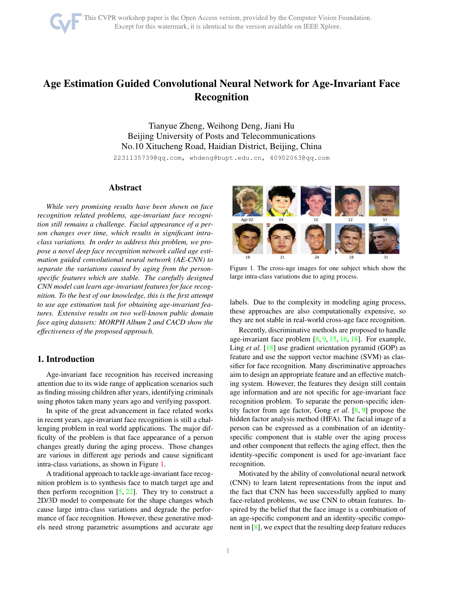# <span id="page-0-1"></span>Age Estimation Guided Convolutional Neural Network for Age-Invariant Face Recognition

Tianyue Zheng, Weihong Deng, Jiani Hu Beijing University of Posts and Telecommunications No.10 Xitucheng Road, Haidian District, Beijing, China

2231135739@qq.com, whdeng@bupt.edu.cn, 40902063@qq.com

# Abstract

*While very promising results have been shown on face recognition related problems, age-invariant face recognition still remains a challenge. Facial appearance of a person changes over time, which results in significant intraclass variations. In order to address this problem, we propose a novel deep face recognition network called age estimation guided convolutional neural network (AE-CNN) to separate the variations caused by aging from the personspecific features which are stable. The carefully designed CNN model can learn age-invariant features for face recognition. To the best of our knowledge, this is the first attempt to use age estimation task for obtaining age-invariant features. Extensive results on two well-known public domain face aging datasets: MORPH Album 2 and CACD show the effectiveness of the proposed approach.*

# 1. Introduction

Age-invariant face recognition has received increasing attention due to its wide range of application scenarios such as finding missing children after years, identifying criminals using photos taken many years ago and verifying passport.

In spite of the great advancement in face related works in recent years, age-invariant face recognition is still a challenging problem in real world applications. The major difficulty of the problem is that face appearance of a person changes greatly during the aging process. Those changes are various in different age periods and cause significant intra-class variations, as shown in Figure [1.](#page-0-0)

A traditional approach to tackle age-invariant face recognition problem is to synthesis face to match target age and then perform recognition  $[5, 22]$  $[5, 22]$ . They try to construct a 2D/3D model to compensate for the shape changes which cause large intra-class variations and degrade the performance of face recognition. However, these generative models need strong parametric assumptions and accurate age



<span id="page-0-0"></span>Figure 1. The cross-age images for one subject which show the large intra-class variations due to aging process.

labels. Due to the complexity in modeling aging process, these approaches are also computationally expensive, so they are not stable in real-world cross-age face recognition.

Recently, discriminative methods are proposed to handle age-invariant face problem  $[8, 9, 15, 16, 18]$  $[8, 9, 15, 16, 18]$  $[8, 9, 15, 16, 18]$  $[8, 9, 15, 16, 18]$  $[8, 9, 15, 16, 18]$  $[8, 9, 15, 16, 18]$  $[8, 9, 15, 16, 18]$  $[8, 9, 15, 16, 18]$  $[8, 9, 15, 16, 18]$ . For example, Ling *et al*. [\[18\]](#page-8-6) use gradient orientation pyramid (GOP) as feature and use the support vector machine (SVM) as classifier for face recognition. Many discriminative approaches aim to design an appropriate feature and an effective matching system. However, the features they design still contain age information and are not specific for age-invariant face recognition problem. To separate the person-specific identity factor from age factor, Gong *et al*. [\[8,](#page-8-2) [9\]](#page-8-3) propose the hidden factor analysis method (HFA). The facial image of a person can be expressed as a combination of an identityspecific component that is stable over the aging process and other component that reflects the aging effect, then the identity-specific component is used for age-invariant face recognition.

Motivated by the ability of convolutional neural network (CNN) to learn latent representations from the input and the fact that CNN has been successfully applied to many face-related problems, we use CNN to obtain features. Inspired by the belief that the face image is a combination of an age-specific component and an identity-specific component in  $[8]$ , we expect that the resulting deep feature reduces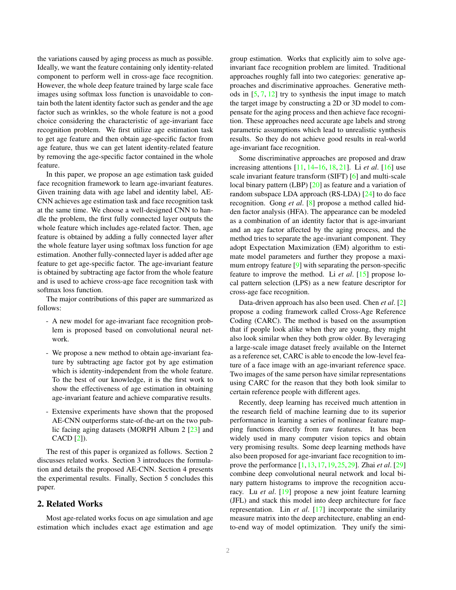<span id="page-1-0"></span>the variations caused by aging process as much as possible. Ideally, we want the feature containing only identity-related component to perform well in cross-age face recognition. However, the whole deep feature trained by large scale face images using softmax loss function is unavoidable to contain both the latent identity factor such as gender and the age factor such as wrinkles, so the whole feature is not a good choice considering the characteristic of age-invariant face recognition problem. We first utilize age estimation task to get age feature and then obtain age-specific factor from age feature, thus we can get latent identity-related feature by removing the age-specific factor contained in the whole feature.

In this paper, we propose an age estimation task guided face recognition framework to learn age-invariant features. Given training data with age label and identity label, AE-CNN achieves age estimation task and face recognition task at the same time. We choose a well-designed CNN to handle the problem, the first fully connected layer outputs the whole feature which includes age-related factor. Then, age feature is obtained by adding a fully connected layer after the whole feature layer using softmax loss function for age estimation. Another fully-connected layer is added after age feature to get age-specific factor. The age-invariant feature is obtained by subtracting age factor from the whole feature and is used to achieve cross-age face recognition task with softmax loss function.

The major contributions of this paper are summarized as follows:

- A new model for age-invariant face recognition problem is proposed based on convolutional neural network.
- We propose a new method to obtain age-invariant feature by subtracting age factor got by age estimation which is identity-independent from the whole feature. To the best of our knowledge, it is the first work to show the effectiveness of age estimation in obtaining age-invariant feature and achieve comparative results.
- Extensive experiments have shown that the proposed AE-CNN outperforms state-of-the-art on the two public facing aging datasets (MORPH Album 2 [\[23\]](#page-8-7) and CACD [\[2\]](#page-8-8)).

The rest of this paper is organized as follows. Section 2 discusses related works. Section 3 introduces the formulation and details the proposed AE-CNN. Section 4 presents the experimental results. Finally, Section 5 concludes this paper.

# 2. Related Works

Most age-related works focus on age simulation and age estimation which includes exact age estimation and age

group estimation. Works that explicitly aim to solve ageinvariant face recognition problem are limited. Traditional approaches roughly fall into two categories: generative approaches and discriminative approaches. Generative methods in [\[5,](#page-8-0) [7,](#page-8-9) [12\]](#page-8-10) try to synthesis the input image to match the target image by constructing a 2D or 3D model to compensate for the aging process and then achieve face recognition. These approaches need accurate age labels and strong parametric assumptions which lead to unrealistic synthesis results. So they do not achieve good results in real-world age-invariant face recognition.

Some discriminative approaches are proposed and draw increasing attentions [\[11,](#page-8-11) [14](#page-8-12)[–16,](#page-8-5) [18,](#page-8-6) [21\]](#page-8-13). Li *et al*. [\[16\]](#page-8-5) use scale invariant feature transform (SIFT) [\[6\]](#page-8-14) and multi-scale local binary pattern (LBP) [\[20\]](#page-8-15) as feature and a variation of random subspace LDA approach (RS-LDA) [\[24\]](#page-8-16) to do face recognition. Gong *et al*. [\[8\]](#page-8-2) propose a method called hidden factor analysis (HFA). The appearance can be modeled as a combination of an identity factor that is age-invariant and an age factor affected by the aging process, and the method tries to separate the age-invariant component. They adopt Expectation Maximization (EM) algorithm to estimate model parameters and further they propose a maximum entropy feature [\[9\]](#page-8-3) with separating the person-specific feature to improve the method. Li *et al*. [\[15\]](#page-8-4) propose local pattern selection (LPS) as a new feature descriptor for cross-age face recognition.

Data-driven approach has also been used. Chen *et al*. [\[2\]](#page-8-8) propose a coding framework called Cross-Age Reference Coding (CARC). The method is based on the assumption that if people look alike when they are young, they might also look similar when they both grow older. By leveraging a large-scale image dataset freely available on the Internet as a reference set, CARC is able to encode the low-level feature of a face image with an age-invariant reference space. Two images of the same person have similar representations using CARC for the reason that they both look similar to certain reference people with different ages.

Recently, deep learning has received much attention in the research field of machine learning due to its superior performance in learning a series of nonlinear feature mapping functions directly from raw features. It has been widely used in many computer vision topics and obtain very promising results. Some deep learning methods have also been proposed for age-invariant face recognition to improve the performance [\[1,](#page-8-17)[13,](#page-8-18)[17,](#page-8-19)[19,](#page-8-20)[25,](#page-8-21)[29\]](#page-8-22). Zhai *et al*. [\[29\]](#page-8-22) combine deep convolutional neural network and local binary pattern histograms to improve the recognition accuracy. Lu *et al*. [\[19\]](#page-8-20) propose a new joint feature learning (JFL) and stack this model into deep architecture for face representation. Lin *et al*. [\[17\]](#page-8-19) incorporate the similarity measure matrix into the deep architecture, enabling an endto-end way of model optimization. They unify the simi-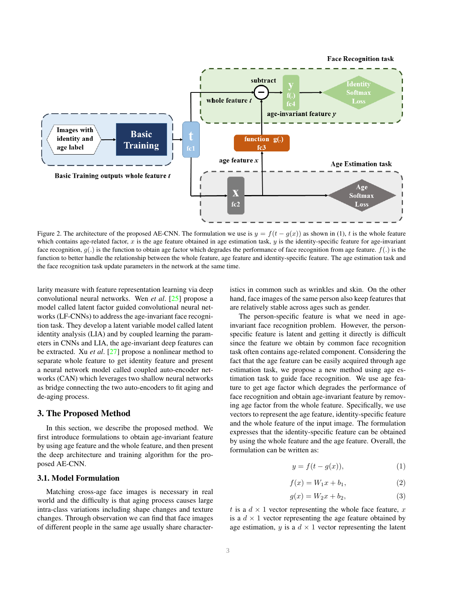**Face Recognition task** 

<span id="page-2-1"></span>

<span id="page-2-0"></span>Figure 2. The architecture of the proposed AE-CNN. The formulation we use is  $y = f(t - g(x))$  as shown in (1), t is the whole feature which contains age-related factor,  $x$  is the age feature obtained in age estimation task,  $y$  is the identity-specific feature for age-invariant face recognition,  $g(.)$  is the function to obtain age factor which degrades the performance of face recognition from age feature.  $f(.)$  is the function to better handle the relationship between the whole feature, age feature and identity-specific feature. The age estimation task and the face recognition task update parameters in the network at the same time.

larity measure with feature representation learning via deep convolutional neural networks. Wen *et al*. [\[25\]](#page-8-21) propose a model called latent factor guided convolutional neural networks (LF-CNNs) to address the age-invariant face recognition task. They develop a latent variable model called latent identity analysis (LIA) and by coupled learning the parameters in CNNs and LIA, the age-invariant deep features can be extracted. Xu *et al*. [\[27\]](#page-8-23) propose a nonlinear method to separate whole feature to get identity feature and present a neural network model called coupled auto-encoder networks (CAN) which leverages two shallow neural networks as bridge connecting the two auto-encoders to fit aging and de-aging process.

# 3. The Proposed Method

In this section, we describe the proposed method. We first introduce formulations to obtain age-invariant feature by using age feature and the whole feature, and then present the deep architecture and training algorithm for the proposed AE-CNN.

#### 3.1. Model Formulation

Matching cross-age face images is necessary in real world and the difficulty is that aging process causes large intra-class variations including shape changes and texture changes. Through observation we can find that face images of different people in the same age usually share characteristics in common such as wrinkles and skin. On the other hand, face images of the same person also keep features that are relatively stable across ages such as gender.

The person-specific feature is what we need in ageinvariant face recognition problem. However, the personspecific feature is latent and getting it directly is difficult since the feature we obtain by common face recognition task often contains age-related component. Considering the fact that the age feature can be easily acquired through age estimation task, we propose a new method using age estimation task to guide face recognition. We use age feature to get age factor which degrades the performance of face recognition and obtain age-invariant feature by removing age factor from the whole feature. Specifically, we use vectors to represent the age feature, identity-specific feature and the whole feature of the input image. The formulation expresses that the identity-specific feature can be obtained by using the whole feature and the age feature. Overall, the formulation can be written as:

$$
y = f(t - g(x)),
$$
\n<sup>(1)</sup>

$$
f(x) = W_1 x + b_1,\tag{2}
$$

$$
g(x) = W_2 x + b_2,\tag{3}
$$

t is a  $d \times 1$  vector representing the whole face feature, x is a  $d \times 1$  vector representing the age feature obtained by age estimation, y is a  $d \times 1$  vector representing the latent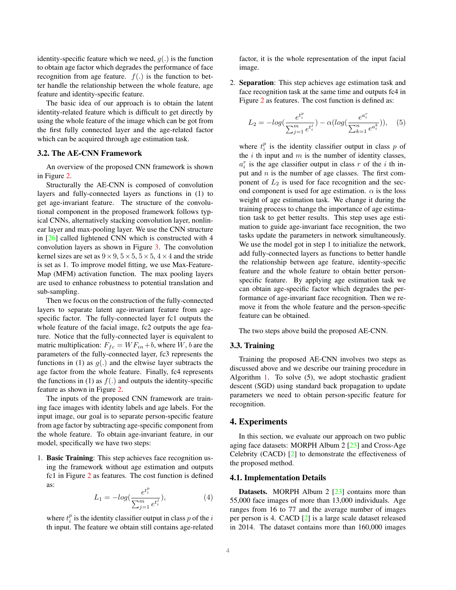<span id="page-3-0"></span>identity-specific feature which we need,  $q(.)$  is the function to obtain age factor which degrades the performance of face recognition from age feature.  $f(.)$  is the function to better handle the relationship between the whole feature, age feature and identity-specific feature.

The basic idea of our approach is to obtain the latent identity-related feature which is difficult to get directly by using the whole feature of the image which can be got from the first fully connected layer and the age-related factor which can be acquired through age estimation task.

### 3.2. The AE-CNN Framework

An overview of the proposed CNN framework is shown in Figure [2.](#page-2-0)

Structurally the AE-CNN is composed of convolution layers and fully-connected layers as functions in (1) to get age-invariant feature. The structure of the convolutional component in the proposed framework follows typical CNNs, alternatively stacking convolution layer, nonlinear layer and max-pooling layer. We use the CNN structure in [\[26\]](#page-8-24) called lightened CNN which is constructed with 4 convolution layers as shown in Figure [3.](#page-4-0) The convolution kernel sizes are set as  $9 \times 9$ ,  $5 \times 5$ ,  $5 \times 5$ ,  $4 \times 4$  and the stride is set as 1. To improve model fitting, we use Max-Feature-Map (MFM) activation function. The max pooling layers are used to enhance robustness to potential translation and sub-sampling.

Then we focus on the construction of the fully-connected layers to separate latent age-invariant feature from agespecific factor. The fully-connected layer fc1 outputs the whole feature of the facial image, fc2 outputs the age feature. Notice that the fully-connected layer is equivalent to matric multiplication:  $F_{fc} = WF_{in} + b$ , where W, b are the parameters of the fully-connected layer, fc3 represents the functions in (1) as  $g(.)$  and the eltwise layer subtracts the age factor from the whole feature. Finally, fc4 represents the functions in (1) as  $f(.)$  and outputs the identity-specific feature as shown in Figure [2.](#page-2-0)

The inputs of the proposed CNN framework are training face images with identity labels and age labels. For the input image, our goal is to separate person-specific feature from age factor by subtracting age-specific component from the whole feature. To obtain age-invariant feature, in our model, specifically we have two steps:

1. Basic Training: This step achieves face recognition using the framework without age estimation and outputs fc1 in Figure [2](#page-2-0) as features. The cost function is defined as:

$$
L_1 = -\log(\frac{e^{t_i^p}}{\sum_{j=1}^m e^{t_i^j}}),\tag{4}
$$

where  $t_i^p$  is the identity classifier output in class  $p$  of the  $i$ th input. The feature we obtain still contains age-related

factor, it is the whole representation of the input facial image.

2. Separation: This step achieves age estimation task and face recognition task at the same time and outputs fc4 in Figure [2](#page-2-0) as features. The cost function is defined as:

$$
L_2 = -\log(\frac{e^{t_i^p}}{\sum_{j=1}^m e^{t_i^j}}) - \alpha(\log(\frac{e^{a_i^r}}{\sum_{k=1}^n e^{a_k^k}})), \quad (5)
$$

where  $t_i^p$  is the identity classifier output in class p of the  $i$  th input and  $m$  is the number of identity classes,  $a_i^r$  is the age classifier output in class r of the i th input and  $n$  is the number of age classes. The first component of  $L_2$  is used for face recognition and the second component is used for age estimation.  $\alpha$  is the loss weight of age estimation task. We change it during the training process to change the importance of age estimation task to get better results. This step uses age estimation to guide age-invariant face recognition, the two tasks update the parameters in network simultaneously. We use the model got in step 1 to initialize the network, add fully-connected layers as functions to better handle the relationship between age feature, identity-specific feature and the whole feature to obtain better personspecific feature. By applying age estimation task we can obtain age-specific factor which degrades the performance of age-invariant face recognition. Then we remove it from the whole feature and the person-specific feature can be obtained.

The two steps above build the proposed AE-CNN.

# 3.3. Training

Training the proposed AE-CNN involves two steps as discussed above and we describe our training procedure in Algorithm [1.](#page-4-1) To solve (5), we adopt stochastic gradient descent (SGD) using standard back propagation to update parameters we need to obtain person-specific feature for recognition.

### 4. Experiments

In this section, we evaluate our approach on two public aging face datasets: MORPH Album 2 [\[23\]](#page-8-7) and Cross-Age Celebrity (CACD) [\[2\]](#page-8-8) to demonstrate the effectiveness of the proposed method.

#### 4.1. Implementation Details

Datasets. MORPH Album 2 [\[23\]](#page-8-7) contains more than 55,000 face images of more than 13,000 individuals. Age ranges from 16 to 77 and the average number of images per person is 4. CACD [\[2\]](#page-8-8) is a large scale dataset released in 2014. The dataset contains more than 160,000 images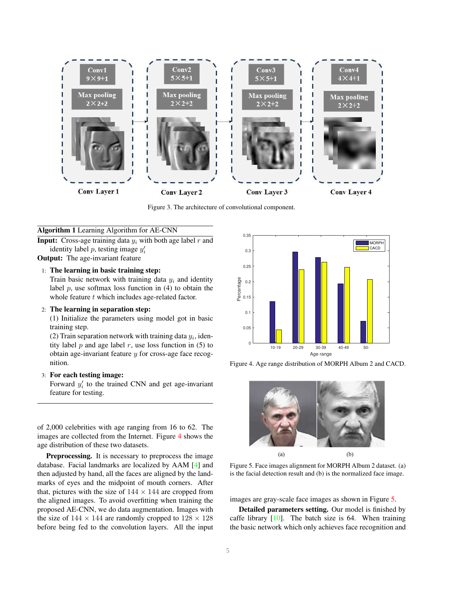<span id="page-4-4"></span>

<span id="page-4-0"></span>Figure 3. The architecture of convolutional component.

<span id="page-4-1"></span>Algorithm 1 Learning Algorithm for AE-CNN

**Input:** Cross-age training data  $y_i$  with both age label  $r$  and identity label  $p$ , testing image  $y_i'$ 

Output: The age-invariant feature

### 1: The learning in basic training step:

Train basic network with training data  $y_i$  and identity label  $p$ , use softmax loss function in (4) to obtain the whole feature  $t$  which includes age-related factor.

# 2: The learning in separation step:

(1) Initialize the parameters using model got in basic training step.

(2) Train separation network with training data  $y_i$ , identity label  $p$  and age label  $r$ , use loss function in (5) to obtain age-invariant feature  $y$  for cross-age face recognition.

#### 3: For each testing image:

Forward  $y_i'$  to the trained CNN and get age-invariant feature for testing.

of 2,000 celebrities with age ranging from 16 to 62. The images are collected from the Internet. Figure [4](#page-4-2) shows the age distribution of these two datasets.

Preprocessing. It is necessary to preprocess the image database. Facial landmarks are localized by AAM [\[4\]](#page-8-25) and then adjusted by hand, all the faces are aligned by the landmarks of eyes and the midpoint of mouth corners. After that, pictures with the size of  $144 \times 144$  are cropped from the aligned images. To avoid overfitting when training the proposed AE-CNN, we do data augmentation. Images with the size of  $144 \times 144$  are randomly cropped to  $128 \times 128$ before being fed to the convolution layers. All the input



<span id="page-4-2"></span>



Figure 5. Face images alignment for MORPH Album 2 dataset. (a) is the facial detection result and (b) is the normalized face image.

<span id="page-4-3"></span>images are gray-scale face images as shown in Figure [5.](#page-4-3)

Detailed parameters setting. Our model is finished by caffe library  $[10]$ . The batch size is 64. When training the basic network which only achieves face recognition and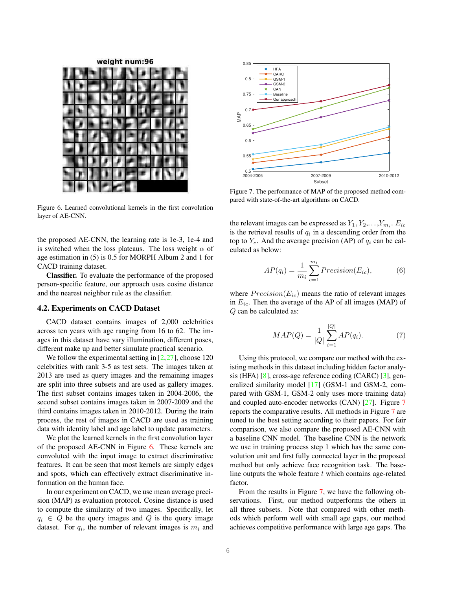<span id="page-5-2"></span>weight num:96

<span id="page-5-0"></span>Figure 6. Learned convolutional kernels in the first convolution layer of AE-CNN.

the proposed AE-CNN, the learning rate is 1e-3, 1e-4 and is switched when the loss plateaus. The loss weight  $\alpha$  of age estimation in (5) is 0.5 for MORPH Album 2 and 1 for CACD training dataset.

Classifier. To evaluate the performance of the proposed person-specific feature, our approach uses cosine distance and the nearest neighbor rule as the classifier.

#### 4.2. Experiments on CACD Dataset

CACD dataset contains images of 2,000 celebrities across ten years with age ranging from 16 to 62. The images in this dataset have vary illumination, different poses, different make up and better simulate practical scenario.

We follow the experimental setting in  $[2,27]$  $[2,27]$ , choose 120 celebrities with rank 3-5 as test sets. The images taken at 2013 are used as query images and the remaining images are split into three subsets and are used as gallery images. The first subset contains images taken in 2004-2006, the second subset contains images taken in 2007-2009 and the third contains images taken in 2010-2012. During the train process, the rest of images in CACD are used as training data with identity label and age label to update parameters.

We plot the learned kernels in the first convolution layer of the proposed AE-CNN in Figure [6.](#page-5-0) These kernels are convoluted with the input image to extract discriminative features. It can be seen that most kernels are simply edges and spots, which can effectively extract discriminative information on the human face.

In our experiment on CACD, we use mean average precision (MAP) as evaluation protocol. Cosine distance is used to compute the similarity of two images. Specifically, let  $q_i \in Q$  be the query images and Q is the query image dataset. For  $q_i$ , the number of relevant images is  $m_i$  and



<span id="page-5-1"></span>Figure 7. The performance of MAP of the proposed method compared with state-of-the-art algorithms on CACD.

the relevant images can be expressed as  $Y_1, Y_2, \ldots, Y_{m_i}$ .  $E_{ic}$ is the retrieval results of  $q_i$  in a descending order from the top to  $Y_c$ . And the average precision (AP) of  $q_i$  can be calculated as below:

$$
AP(q_i) = \frac{1}{m_i} \sum_{c=1}^{m_i} Precision(E_{ic}), \tag{6}
$$

where  $Precision(E_{ic})$  means the ratio of relevant images in  $E_{ic}$ . Then the average of the AP of all images (MAP) of Q can be calculated as:

$$
MAP(Q) = \frac{1}{|Q|} \sum_{i=1}^{|Q|} AP(q_i). \tag{7}
$$

Using this protocol, we compare our method with the existing methods in this dataset including hidden factor analysis (HFA) [\[8\]](#page-8-2), cross-age reference coding (CARC) [\[3\]](#page-8-27), generalized similarity model [\[17\]](#page-8-19) (GSM-1 and GSM-2, compared with GSM-1, GSM-2 only uses more training data) and coupled auto-encoder networks (CAN) [\[27\]](#page-8-23). Figure [7](#page-5-1) reports the comparative results. All methods in Figure [7](#page-5-1) are tuned to the best setting according to their papers. For fair comparison, we also compare the proposed AE-CNN with a baseline CNN model. The baseline CNN is the network we use in training process step 1 which has the same convolution unit and first fully connected layer in the proposed method but only achieve face recognition task. The baseline outputs the whole feature  $t$  which contains age-related factor.

From the results in Figure [7,](#page-5-1) we have the following observations. First, our method outperforms the others in all three subsets. Note that compared with other methods which perform well with small age gaps, our method achieves competitive performance with large age gaps. The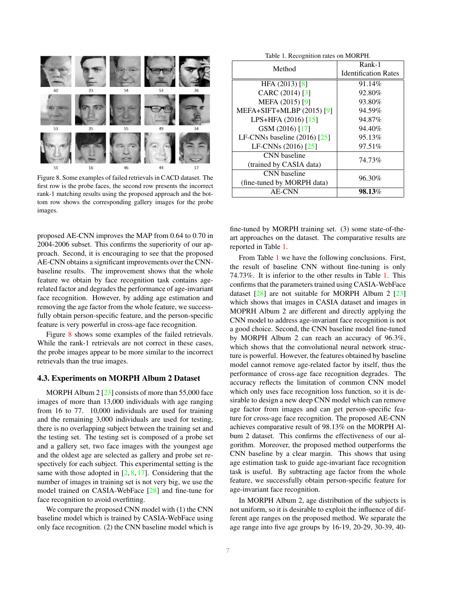<span id="page-6-2"></span>

<span id="page-6-0"></span>Figure 8. Some examples of failed retrievals in CACD dataset. The first row is the probe faces, the second row presents the incorrect rank-1 matching results using the proposed approach and the bottom row shows the corresponding gallery images for the probe images.

proposed AE-CNN improves the MAP from 0.64 to 0.70 in 2004-2006 subset. This confirms the superiority of our approach. Second, it is encouraging to see that the proposed AE-CNN obtains a significant improvements over the CNNbaseline results. The improvement shows that the whole feature we obtain by face recognition task contains agerelated factor and degrades the performance of age-invariant face recognition. However, by adding age estimation and removing the age factor from the whole feature, we successfully obtain person-specific feature, and the person-specific feature is very powerful in cross-age face recognition.

Figure [8](#page-6-0) shows some examples of the failed retrievals. While the rank-1 retrievals are not correct in these cases, the probe images appear to be more similar to the incorrect retrievals than the true images.

#### 4.3. Experiments on MORPH Album 2 Dataset

MORPH Album 2 [\[23\]](#page-8-7) consists of more than 55,000 face images of more than 13,000 individuals with age ranging from 16 to 77. 10,000 individuals are used for training and the remaining 3,000 individuals are used for testing, there is no overlapping subject between the training set and the testing set. The testing set is composed of a probe set and a gallery set, two face images with the youngest age and the oldest age are selected as gallery and probe set respectively for each subject. This experimental setting is the same with those adopted in  $[2, 8, 17]$  $[2, 8, 17]$  $[2, 8, 17]$  $[2, 8, 17]$  $[2, 8, 17]$ . Considering that the number of images in training set is not very big, we use the model trained on CASIA-WebFace [\[28\]](#page-8-28) and fine-tune for face recognition to avoid overfitting.

We compare the proposed CNN model with  $(1)$  the CNN baseline model which is trained by CASIA-WebFace using only face recognition. (2) the CNN baseline model which is

<span id="page-6-1"></span>

| Table 1. Recognition rates on MORPH. |                             |  |  |
|--------------------------------------|-----------------------------|--|--|
| Method                               | Rank-1                      |  |  |
|                                      | <b>Identification Rates</b> |  |  |
| HFA (2013) [8]                       | 91.14%                      |  |  |
| CARC (2014) [3]                      | 92.80%                      |  |  |
| MEFA (2015) [9]                      | 93.80%                      |  |  |
| MEFA+SIFT+MLBP $(2015)$ [9]          | 94.59%                      |  |  |
| LPS+HFA $(2016)$ [15]                | 94.87%                      |  |  |
| GSM (2016) [17]                      | 94.40%                      |  |  |
| LF-CNNs baseline $(2016)$ [25]       | 95.13%                      |  |  |
| LF-CNNs (2016) [25]                  | 97.51%                      |  |  |
| <b>CNN</b> baseline                  | 74.73%                      |  |  |
| (trained by CASIA data)              |                             |  |  |
| CNN baseline                         | 96.30%                      |  |  |
| (fine-tuned by MORPH data)           |                             |  |  |
| <b>AE-CNN</b>                        | 98.13%                      |  |  |

fine-tuned by MORPH training set. (3) some state-of-theart approaches on the dataset. The comparative results are reported in Table [1.](#page-6-1)

From Table [1](#page-6-1) we have the following conclusions. First, the result of baseline CNN without fine-tuning is only 74.73%. It is inferior to the other results in Table [1.](#page-6-1) This confirms that the parameters trained using CASIA-WebFace dataset [\[28\]](#page-8-28) are not suitable for MORPH Album 2 [\[23\]](#page-8-7) which shows that images in CASIA dataset and images in MOPRH Album 2 are different and directly applying the CNN model to address age-invariant face recognition is not a good choice. Second, the CNN baseline model fine-tuned by MORPH Album 2 can reach an accuracy of 96.3%, which shows that the convolutional neural network structure is powerful. However, the features obtained by baseline model cannot remove age-related factor by itself, thus the performance of cross-age face recognition degrades. The accuracy reflects the limitation of common CNN model which only uses face recognition loss function, so it is desirable to design a new deep CNN model which can remove age factor from images and can get person-specific feature for cross-age face recognition. The proposed AE-CNN achieves comparative result of 98.13% on the MORPH Album 2 dataset. This confirms the effectiveness of our algorithm. Moreover, the proposed method outperforms the CNN baseline by a clear margin. This shows that using age estimation task to guide age-invariant face recognition task is useful. By subtracting age factor from the whole feature, we successfully obtain person-specific feature for age-invariant face recognition.

In MORPH Album 2, age distribution of the subjects is not uniform, so it is desirable to exploit the influence of different age ranges on the proposed method. We separate the age range into five age groups by 16-19, 20-29, 30-39, 40-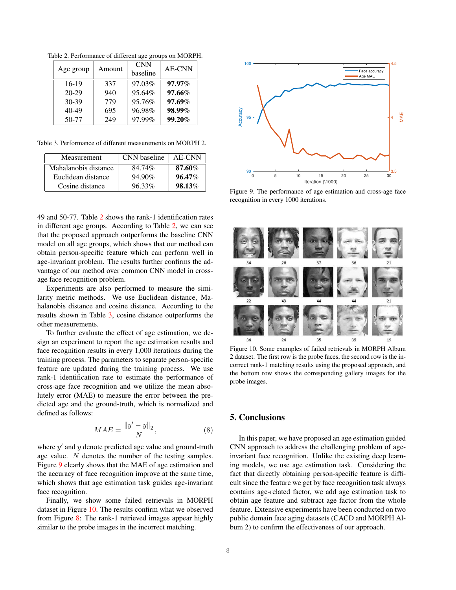Table 2. Performance of different age groups on MORPH.

<span id="page-7-0"></span>

| Age group | Amount | <b>CNN</b><br>baseline | <b>AE-CNN</b> |
|-----------|--------|------------------------|---------------|
| $16-19$   | 337    | 97.03%                 | 97.97%        |
| $20 - 29$ | 940    | 95.64%                 | 97.66%        |
| 30-39     | 779    | 95.76%                 | $97.69\%$     |
| 40-49     | 695    | 96.98%                 | 98.99%        |
| 50-77     | 249    | 97.99%                 | 99.20%        |

Table 3. Performance of different measurements on MORPH 2.

<span id="page-7-1"></span>

| Measurement          | CNN baseline | AE-CNN    |
|----------------------|--------------|-----------|
| Mahalanobis distance | 84.74%       | 87.60%    |
| Euclidean distance   | 94.90%       | $96.47\%$ |
| Cosine distance      | 96.33%       | 98.13%    |

49 and 50-77. Table [2](#page-7-0) shows the rank-1 identification rates in different age groups. According to Table [2,](#page-7-0) we can see that the proposed approach outperforms the baseline CNN model on all age groups, which shows that our method can obtain person-specific feature which can perform well in age-invariant problem. The results further confirms the advantage of our method over common CNN model in crossage face recognition problem.

Experiments are also performed to measure the similarity metric methods. We use Euclidean distance, Mahalanobis distance and cosine distance. According to the results shown in Table [3,](#page-7-1) cosine distance outperforms the other measurements.

To further evaluate the effect of age estimation, we design an experiment to report the age estimation results and face recognition results in every 1,000 iterations during the training process. The parameters to separate person-specific feature are updated during the training process. We use rank-1 identification rate to estimate the performance of cross-age face recognition and we utilize the mean absolutely error (MAE) to measure the error between the predicted age and the ground-truth, which is normalized and defined as follows:

$$
MAE = \frac{\|y' - y\|_2}{N},\tag{8}
$$

where  $y'$  and  $y$  denote predicted age value and ground-truth age value. N denotes the number of the testing samples. Figure [9](#page-7-2) clearly shows that the MAE of age estimation and the accuracy of face recognition improve at the same time, which shows that age estimation task guides age-invariant face recognition.

Finally, we show some failed retrievals in MORPH dataset in Figure [10.](#page-7-3) The results confirm what we observed from Figure [8:](#page-6-0) The rank-1 retrieved images appear highly similar to the probe images in the incorrect matching.



<span id="page-7-2"></span>Figure 9. The performance of age estimation and cross-age face recognition in every 1000 iterations.



<span id="page-7-3"></span>Figure 10. Some examples of failed retrievals in MORPH Album 2 dataset. The first row is the probe faces, the second row is the incorrect rank-1 matching results using the proposed approach, and the bottom row shows the corresponding gallery images for the probe images.

# 5. Conclusions

In this paper, we have proposed an age estimation guided CNN approach to address the challenging problem of ageinvariant face recognition. Unlike the existing deep learning models, we use age estimation task. Considering the fact that directly obtaining person-specific feature is difficult since the feature we get by face recognition task always contains age-related factor, we add age estimation task to obtain age feature and subtract age factor from the whole feature. Extensive experiments have been conducted on two public domain face aging datasets (CACD and MORPH Album 2) to confirm the effectiveness of our approach.